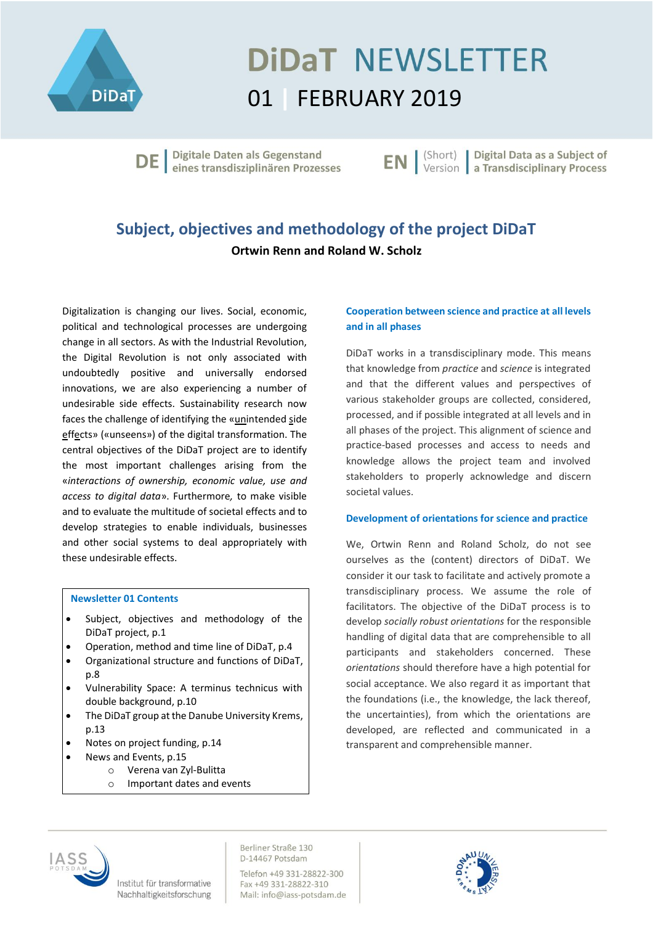

# **DIDAT NEWSLETTER** 01 **|** FEBRUARY 2019

Digitale Daten als Gegenstand DE eines transdisziplinären Prozesses **EN** | (Short) | Digital Data as a Subject of

### **Subject, objectives and methodology of the project DiDaT Ortwin Renn and Roland W. Scholz**

Digitalization is changing our lives. Social, economic, political and technological processes are undergoing change in all sectors. As with the Industrial Revolution, the Digital Revolution is not only associated with undoubtedly positive and universally endorsed innovations, we are also experiencing a number of undesirable side effects. Sustainability research now faces the challenge of identifying the «unintended side effects» («unseens») of the digital transformation. The central objectives of the DiDaT project are to identify the most important challenges arising from the «*interactions of ownership, economic value, use and access to digital data*». Furthermore*,* to make visible and to evaluate the multitude of societal effects and to develop strategies to enable individuals, businesses and other social systems to deal appropriately with these undesirable effects.

#### **Newsletter 01 Contents**

- Subject, objectives and methodology of the DiDaT project, p.1
- Operation, method and time line of DiDaT, p.4
- Organizational structure and functions of DiDaT, p.8
- Vulnerability Space: A terminus technicus with double background, p.10
- The DiDaT group at the Danube University Krems, p.13
- Notes on project funding, p.14
- News and Events, p.15
	- o Verena van Zyl-Bulitta
	- o Important dates and events

#### **Cooperation between science and practice at all levels and in all phases**

DiDaT works in a transdisciplinary mode. This means that knowledge from *practice* and *science* is integrated and that the different values and perspectives of various stakeholder groups are collected, considered, processed, and if possible integrated at all levels and in all phases of the project. This alignment of science and practice-based processes and access to needs and knowledge allows the project team and involved stakeholders to properly acknowledge and discern societal values.

#### **Development of orientations for science and practice**

We, Ortwin Renn and Roland Scholz, do not see ourselves as the (content) directors of DiDaT. We consider it our task to facilitate and actively promote a transdisciplinary process. We assume the role of facilitators. The objective of the DiDaT process is to develop *socially robust orientations* for the responsible handling of digital data that are comprehensible to all participants and stakeholders concerned. These *orientations* should therefore have a high potential for social acceptance. We also regard it as important that the foundations (i.e., the knowledge, the lack thereof, the uncertainties), from which the orientations are developed, are reflected and communicated in a transparent and comprehensible manner.



Institut für transformative Nachhaltigkeitsforschung

D-14467 Potsdam Telefon +49 331-28822-300 Fax +49 331-28822-310 Mail: info@iass-potsdam.de

Berliner Straße 130

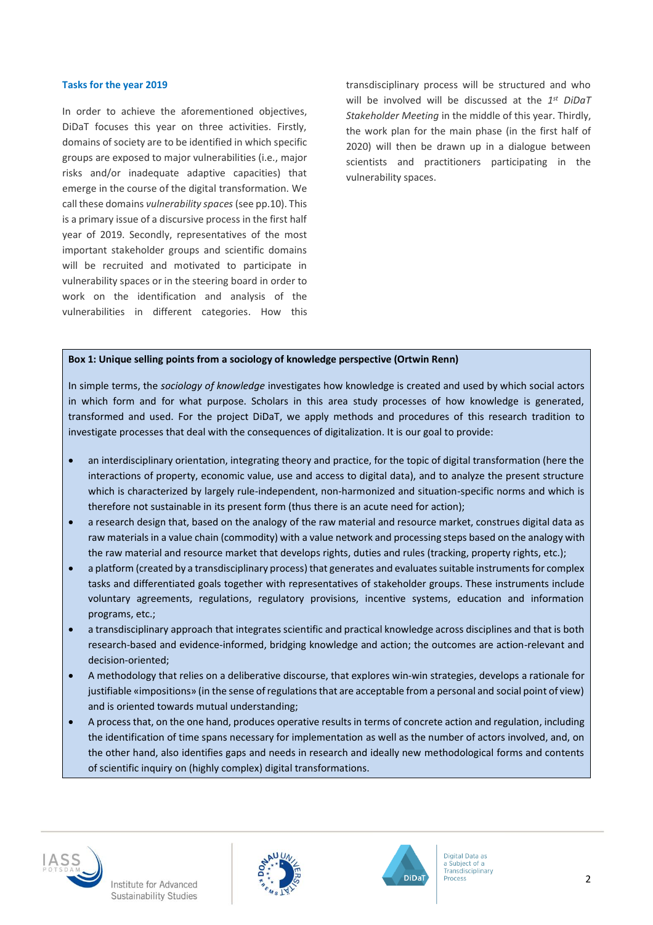#### **Tasks for the year 2019**

In order to achieve the aforementioned objectives, DiDaT focuses this year on three activities. Firstly, domains of society are to be identified in which specific groups are exposed to major vulnerabilities (i.e., major risks and/or inadequate adaptive capacities) that emerge in the course of the digital transformation. We call these domains *vulnerability spaces* (see pp.10). This is a primary issue of a discursive process in the first half year of 2019. Secondly, representatives of the most important stakeholder groups and scientific domains will be recruited and motivated to participate in vulnerability spaces or in the steering board in order to work on the identification and analysis of the vulnerabilities in different categories. How this transdisciplinary process will be structured and who will be involved will be discussed at the 1<sup>st</sup> DiDaT *Stakeholder Meeting* in the middle of this year. Thirdly, the work plan for the main phase (in the first half of 2020) will then be drawn up in a dialogue between scientists and practitioners participating in the vulnerability spaces.

#### **Box 1: Unique selling points from a sociology of knowledge perspective (Ortwin Renn)**

In simple terms, the *sociology of knowledge* investigates how knowledge is created and used by which social actors in which form and for what purpose. Scholars in this area study processes of how knowledge is generated, transformed and used. For the project DiDaT, we apply methods and procedures of this research tradition to investigate processes that deal with the consequences of digitalization. It is our goal to provide:

- an interdisciplinary orientation, integrating theory and practice, for the topic of digital transformation (here the interactions of property, economic value, use and access to digital data), and to analyze the present structure which is characterized by largely rule-independent, non-harmonized and situation-specific norms and which is therefore not sustainable in its present form (thus there is an acute need for action);
- a research design that, based on the analogy of the raw material and resource market, construes digital data as raw materials in a value chain (commodity) with a value network and processing steps based on the analogy with the raw material and resource market that develops rights, duties and rules (tracking, property rights, etc.);
- a platform (created by a transdisciplinary process) that generates and evaluates suitable instruments for complex tasks and differentiated goals together with representatives of stakeholder groups. These instruments include voluntary agreements, regulations, regulatory provisions, incentive systems, education and information programs, etc.;
- a transdisciplinary approach that integrates scientific and practical knowledge across disciplines and that is both research-based and evidence-informed, bridging knowledge and action; the outcomes are action-relevant and decision-oriented;
- A methodology that relies on a deliberative discourse, that explores win-win strategies, develops a rationale for justifiable «impositions» (in the sense of regulations that are acceptable from a personal and social point of view) and is oriented towards mutual understanding;
- A process that, on the one hand, produces operative results in terms of concrete action and regulation, including the identification of time spans necessary for implementation as well as the number of actors involved, and, on the other hand, also identifies gaps and needs in research and ideally new methodological forms and contents of scientific inquiry on (highly complex) digital transformations.







Digital Data as Subject of a Transdisciplinary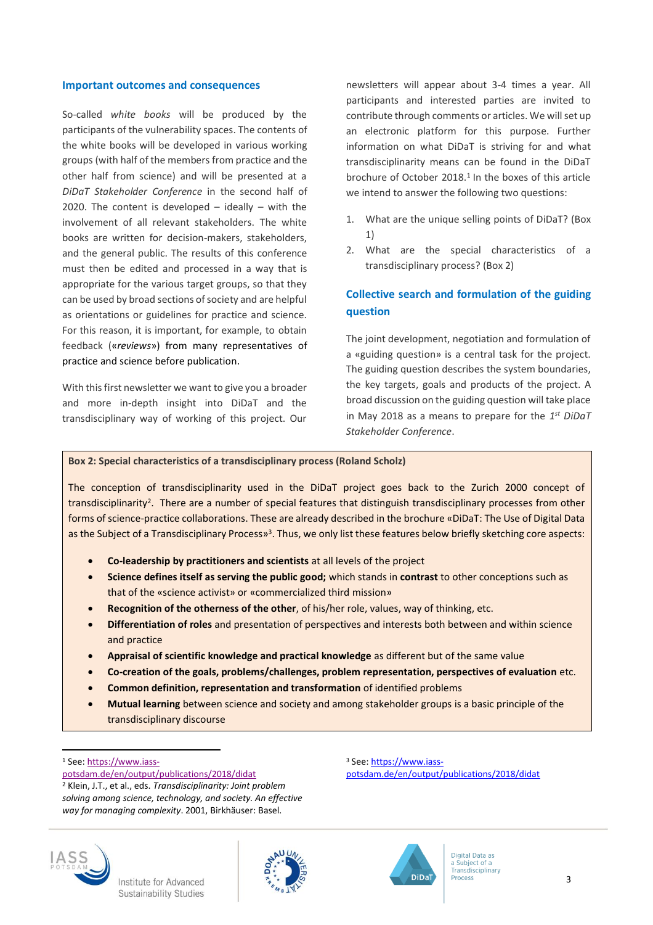#### **Important outcomes and consequences**

So-called *white books* will be produced by the participants of the vulnerability spaces. The contents of the white books will be developed in various working groups (with half of the members from practice and the other half from science) and will be presented at a *DiDaT Stakeholder Conference* in the second half of 2020. The content is developed – ideally – with the involvement of all relevant stakeholders. The white books are written for decision-makers, stakeholders, and the general public. The results of this conference must then be edited and processed in a way that is appropriate for the various target groups, so that they can be used by broad sections of society and are helpful as orientations or guidelines for practice and science. For this reason, it is important, for example, to obtain feedback («*reviews*») from many representatives of practice and science before publication.

With this first newsletter we want to give you a broader and more in-depth insight into DiDaT and the transdisciplinary way of working of this project. Our newsletters will appear about 3-4 times a year. All participants and interested parties are invited to contribute through comments or articles. We will set up an electronic platform for this purpose. Further information on what DiDaT is striving for and what transdisciplinarity means can be found in the DiDaT brochure of October 2018.<sup>1</sup> In the boxes of this article we intend to answer the following two questions:

- 1. What are the unique selling points of DiDaT? (Box 1)
- 2. What are the special characteristics of a transdisciplinary process? (Box 2)

#### **Collective search and formulation of the guiding question**

The joint development, negotiation and formulation of a «guiding question» is a central task for the project. The guiding question describes the system boundaries, the key targets, goals and products of the project. A broad discussion on the guiding question will take place in May 2018 as a means to prepare for the *1 st DiDaT Stakeholder Conference*.

#### **Box 2: Special characteristics of a transdisciplinary process (Roland Scholz)**

The conception of transdisciplinarity used in the DiDaT project goes back to the Zurich 2000 concept of transdisciplinarity<sup>2</sup>. There are a number of special features that distinguish transdisciplinary processes from other forms of science-practice collaborations. These are already described in the brochure «DiDaT: The Use of Digital Data as the Subject of a Transdisciplinary Process»<sup>3</sup>. Thus, we only list these features below briefly sketching core aspects:

- **Co-leadership by practitioners and scientists** at all levels of the project
- **Science defines itself as serving the public good;** which stands in **contrast** to other conceptions such as that of the «science activist» or «commercialized third mission»
- **Recognition of the otherness of the other**, of his/her role, values, way of thinking, etc.
- **Differentiation of roles** and presentation of perspectives and interests both between and within science and practice
- **Appraisal of scientific knowledge and practical knowledge** as different but of the same value
- **Co-creation of the goals, problems/challenges, problem representation, perspectives of evaluation** etc.
- **Common definition, representation and transformation** of identified problems
- **Mutual learning** between science and society and among stakeholder groups is a basic principle of the transdisciplinary discourse

<sup>1</sup> See: https://www.iass-

<sup>3</sup> See[: https://www.iass](https://www.iass-potsdam.de/en/output/publications/2018/didat)[potsdam.de/en/output/publications/2018/didat](https://www.iass-potsdam.de/en/output/publications/2018/didat) 



l





potsdam.de/en/output/publications/2018/didat

<sup>2</sup> Klein, J.T., et al., eds. *Transdisciplinarity: Joint problem solving among science, technology, and society. An effective way for managing complexity*. 2001, Birkhäuser: Basel.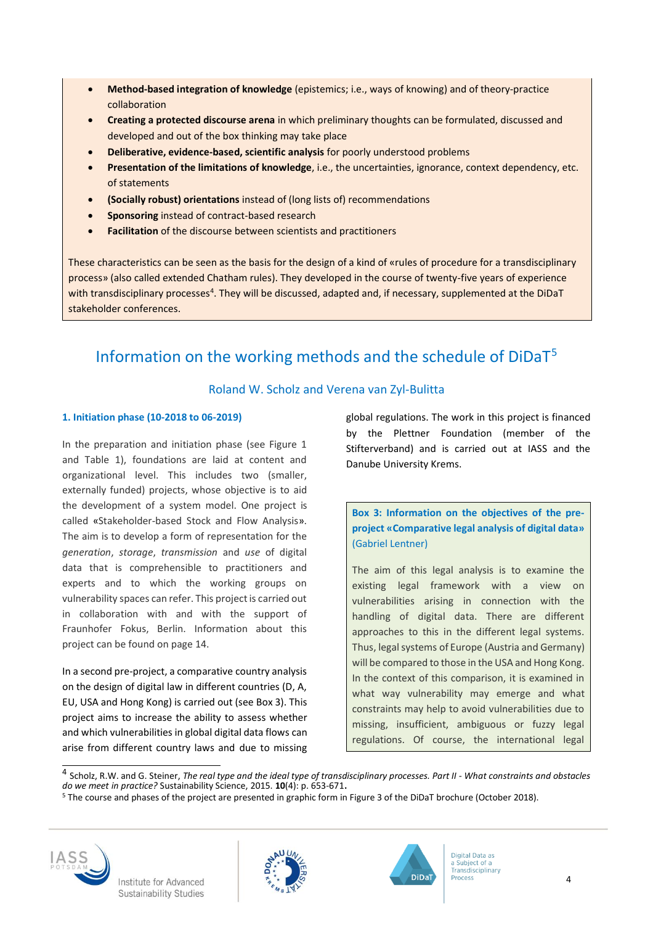- **Method-based integration of knowledge** (epistemics; i.e., ways of knowing) and of theory-practice collaboration
- **Creating a protected discourse arena** in which preliminary thoughts can be formulated, discussed and developed and out of the box thinking may take place
- **Deliberative, evidence-based, scientific analysis** for poorly understood problems
- **Presentation of the limitations of knowledge**, i.e., the uncertainties, ignorance, context dependency, etc. of statements
- **(Socially robust) orientations** instead of (long lists of) recommendations
- **Sponsoring** instead of contract-based research
- **Facilitation** of the discourse between scientists and practitioners

These characteristics can be seen as the basis for the design of a kind of «rules of procedure for a transdisciplinary process» (also called extended Chatham rules). They developed in the course of twenty-five years of experience with transdisciplinary processes<sup>4</sup>. They will be discussed, adapted and, if necessary, supplemented at the DiDaT stakeholder conferences.

# Information on the working methods and the schedule of DiDaT<sup>5</sup>

#### Roland W. Scholz and Verena van Zyl-Bulitta

#### **1. Initiation phase (10-2018 to 06-2019)**

In the preparation and initiation phase (see Figure 1 and Table 1), foundations are laid at content and organizational level. This includes two (smaller, externally funded) projects, whose objective is to aid the development of a system model. One project is called «Stakeholder-based Stock and Flow Analysis». The aim is to develop a form of representation for the *generation*, *storage*, *transmission* and *use* of digital data that is comprehensible to practitioners and experts and to which the working groups on vulnerability spaces can refer. This project is carried out in collaboration with and with the support of Fraunhofer Fokus, Berlin. Information about this project can be found on page 14.

In a second pre-project, a comparative country analysis on the design of digital law in different countries (D, A, EU, USA and Hong Kong) is carried out (see Box 3). This project aims to increase the ability to assess whether and which vulnerabilities in global digital data flows can arise from different country laws and due to missing global regulations. The work in this project is financed by the Plettner Foundation (member of the Stifterverband) and is carried out at IASS and the Danube University Krems.

**Box 3: Information on the objectives of the preproject «Comparative legal analysis of digital data»**  (Gabriel Lentner)

The aim of this legal analysis is to examine the existing legal framework with a view on vulnerabilities arising in connection with the handling of digital data. There are different approaches to this in the different legal systems. Thus, legal systems of Europe (Austria and Germany) will be compared to those in the USA and Hong Kong. In the context of this comparison, it is examined in what way vulnerability may emerge and what constraints may help to avoid vulnerabilities due to missing, insufficient, ambiguous or fuzzy legal regulations. Of course, the international legal

 4 Scholz, R.W. and G. Steiner, *The real type and the ideal type of transdisciplinary processes. Part II - What constraints and obstacles do we meet in practice?* Sustainability Science, 2015. **10**(4): p. 653-671.

<sup>5</sup> The course and phases of the project are presented in graphic form in Figure 3 of the DiDaT brochure (October 2018).





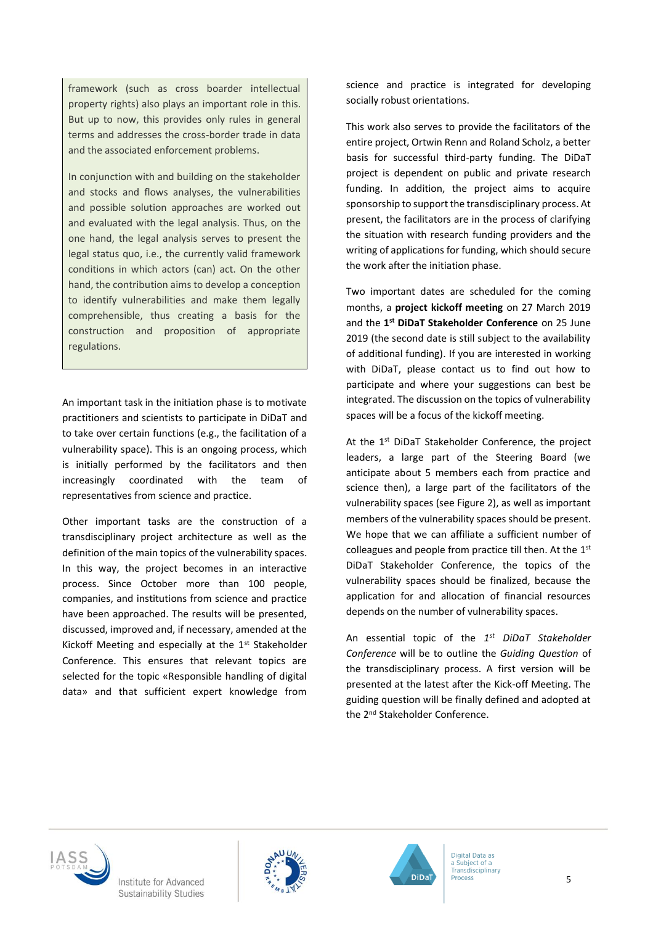framework (such as cross boarder intellectual property rights) also plays an important role in this. But up to now, this provides only rules in general terms and addresses the cross-border trade in data and the associated enforcement problems.

In conjunction with and building on the stakeholder and stocks and flows analyses, the vulnerabilities and possible solution approaches are worked out and evaluated with the legal analysis. Thus, on the one hand, the legal analysis serves to present the legal status quo, i.e., the currently valid framework conditions in which actors (can) act. On the other hand, the contribution aims to develop a conception to identify vulnerabilities and make them legally comprehensible, thus creating a basis for the construction and proposition of appropriate regulations.

An important task in the initiation phase is to motivate practitioners and scientists to participate in DiDaT and to take over certain functions (e.g., the facilitation of a vulnerability space). This is an ongoing process, which is initially performed by the facilitators and then increasingly coordinated with the team of representatives from science and practice.

Other important tasks are the construction of a transdisciplinary project architecture as well as the definition of the main topics of the vulnerability spaces. In this way, the project becomes in an interactive process. Since October more than 100 people, companies, and institutions from science and practice have been approached. The results will be presented, discussed, improved and, if necessary, amended at the Kickoff Meeting and especially at the 1st Stakeholder Conference. This ensures that relevant topics are selected for the topic «Responsible handling of digital data» and that sufficient expert knowledge from science and practice is integrated for developing socially robust orientations.

This work also serves to provide the facilitators of the entire project, Ortwin Renn and Roland Scholz, a better basis for successful third-party funding. The DiDaT project is dependent on public and private research funding. In addition, the project aims to acquire sponsorship to support the transdisciplinary process. At present, the facilitators are in the process of clarifying the situation with research funding providers and the writing of applications for funding, which should secure the work after the initiation phase.

Two important dates are scheduled for the coming months, a **project kickoff meeting** on 27 March 2019 and the **1 st DiDaT Stakeholder Conference** on 25 June 2019 (the second date is still subject to the availability of additional funding). If you are interested in working with DiDaT, please contact us to find out how to participate and where your suggestions can best be integrated. The discussion on the topics of vulnerability spaces will be a focus of the kickoff meeting.

At the 1<sup>st</sup> DiDaT Stakeholder Conference, the project leaders, a large part of the Steering Board (we anticipate about 5 members each from practice and science then), a large part of the facilitators of the vulnerability spaces (see Figure 2), as well as important members of the vulnerability spaces should be present. We hope that we can affiliate a sufficient number of colleagues and people from practice till then. At the 1st DiDaT Stakeholder Conference, the topics of the vulnerability spaces should be finalized, because the application for and allocation of financial resources depends on the number of vulnerability spaces.

An essential topic of the 1<sup>st</sup> DiDaT Stakeholder *Conference* will be to outline the *Guiding Question* of the transdisciplinary process. A first version will be presented at the latest after the Kick-off Meeting. The guiding question will be finally defined and adopted at the 2<sup>nd</sup> Stakeholder Conference.





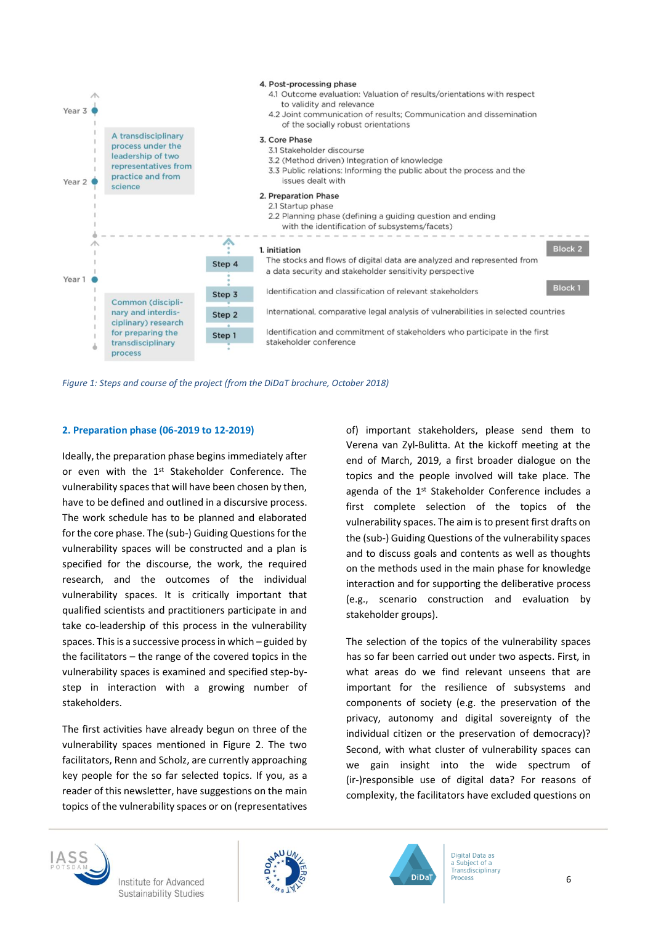

*Figure 1: Steps and course of the project (from the DiDaT brochure, October 2018)*

#### **2. Preparation phase (06-2019 to 12-2019)**

Ideally, the preparation phase begins immediately after or even with the 1<sup>st</sup> Stakeholder Conference. The vulnerability spaces that will have been chosen by then, have to be defined and outlined in a discursive process. The work schedule has to be planned and elaborated for the core phase. The (sub-) Guiding Questions for the vulnerability spaces will be constructed and a plan is specified for the discourse, the work, the required research, and the outcomes of the individual vulnerability spaces. It is critically important that qualified scientists and practitioners participate in and take co-leadership of this process in the vulnerability spaces. This is a successive process in which – guided by the facilitators – the range of the covered topics in the vulnerability spaces is examined and specified step-bystep in interaction with a growing number of stakeholders.

The first activities have already begun on three of the vulnerability spaces mentioned in Figure 2. The two facilitators, Renn and Scholz, are currently approaching key people for the so far selected topics. If you, as a reader of this newsletter, have suggestions on the main topics of the vulnerability spaces or on (representatives of) important stakeholders, please send them to Verena van Zyl-Bulitta. At the kickoff meeting at the end of March, 2019, a first broader dialogue on the topics and the people involved will take place. The agenda of the 1<sup>st</sup> Stakeholder Conference includes a first complete selection of the topics of the vulnerability spaces. The aim is to present first drafts on the (sub-) Guiding Questions of the vulnerability spaces and to discuss goals and contents as well as thoughts on the methods used in the main phase for knowledge interaction and for supporting the deliberative process (e.g., scenario construction and evaluation by stakeholder groups).

The selection of the topics of the vulnerability spaces has so far been carried out under two aspects. First, in what areas do we find relevant unseens that are important for the resilience of subsystems and components of society (e.g. the preservation of the privacy, autonomy and digital sovereignty of the individual citizen or the preservation of democracy)? Second, with what cluster of vulnerability spaces can we gain insight into the wide spectrum of (ir-)responsible use of digital data? For reasons of complexity, the facilitators have excluded questions on



Institute for Advanced Sustainability Studies



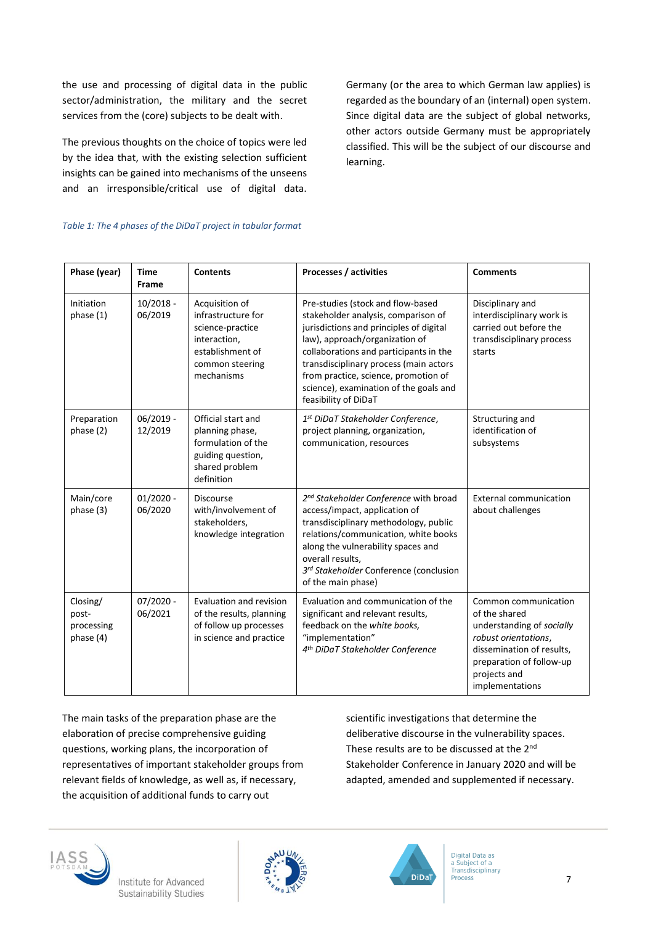the use and processing of digital data in the public sector/administration, the military and the secret services from the (core) subjects to be dealt with.

The previous thoughts on the choice of topics were led by the idea that, with the existing selection sufficient insights can be gained into mechanisms of the unseens and an irresponsible/critical use of digital data.

Germany (or the area to which German law applies) is regarded as the boundary of an (internal) open system. Since digital data are the subject of global networks, other actors outside Germany must be appropriately classified. This will be the subject of our discourse and learning.

#### *Table 1: The 4 phases of the DiDaT project in tabular format*

| Phase (year)                                 | <b>Time</b><br>Frame   | <b>Contents</b>                                                                                                               | Processes / activities                                                                                                                                                                                                                                                                                                                              | <b>Comments</b>                                                                                                                                                                        |
|----------------------------------------------|------------------------|-------------------------------------------------------------------------------------------------------------------------------|-----------------------------------------------------------------------------------------------------------------------------------------------------------------------------------------------------------------------------------------------------------------------------------------------------------------------------------------------------|----------------------------------------------------------------------------------------------------------------------------------------------------------------------------------------|
| Initiation<br>phase $(1)$                    | $10/2018 -$<br>06/2019 | Acquisition of<br>infrastructure for<br>science-practice<br>interaction,<br>establishment of<br>common steering<br>mechanisms | Pre-studies (stock and flow-based<br>stakeholder analysis, comparison of<br>jurisdictions and principles of digital<br>law), approach/organization of<br>collaborations and participants in the<br>transdisciplinary process (main actors<br>from practice, science, promotion of<br>science), examination of the goals and<br>feasibility of DiDaT | Disciplinary and<br>interdisciplinary work is<br>carried out before the<br>transdisciplinary process<br>starts                                                                         |
| Preparation<br>phase (2)                     | $06/2019 -$<br>12/2019 | Official start and<br>planning phase,<br>formulation of the<br>guiding question,<br>shared problem<br>definition              | 1st DiDaT Stakeholder Conference,<br>project planning, organization,<br>communication, resources                                                                                                                                                                                                                                                    | Structuring and<br>identification of<br>subsystems                                                                                                                                     |
| Main/core<br>phase (3)                       | $01/2020 -$<br>06/2020 | <b>Discourse</b><br>with/involvement of<br>stakeholders,<br>knowledge integration                                             | 2 <sup>nd</sup> Stakeholder Conference with broad<br>access/impact, application of<br>transdisciplinary methodology, public<br>relations/communication, white books<br>along the vulnerability spaces and<br>overall results,<br>3rd Stakeholder Conference (conclusion<br>of the main phase)                                                       | <b>External communication</b><br>about challenges                                                                                                                                      |
| Closing/<br>post-<br>processing<br>phase (4) | $07/2020 -$<br>06/2021 | Evaluation and revision<br>of the results, planning<br>of follow up processes<br>in science and practice                      | Evaluation and communication of the<br>significant and relevant results,<br>feedback on the white books,<br>"implementation"<br>4 <sup>th</sup> DiDaT Stakeholder Conference                                                                                                                                                                        | Common communication<br>of the shared<br>understanding of socially<br>robust orientations,<br>dissemination of results,<br>preparation of follow-up<br>projects and<br>implementations |

The main tasks of the preparation phase are the elaboration of precise comprehensive guiding questions, working plans, the incorporation of representatives of important stakeholder groups from relevant fields of knowledge, as well as, if necessary, the acquisition of additional funds to carry out

scientific investigations that determine the deliberative discourse in the vulnerability spaces. These results are to be discussed at the 2<sup>nd</sup> Stakeholder Conference in January 2020 and will be adapted, amended and supplemented if necessary.







Digital Data as a Subject of a<br>Transdisciplinary **Process**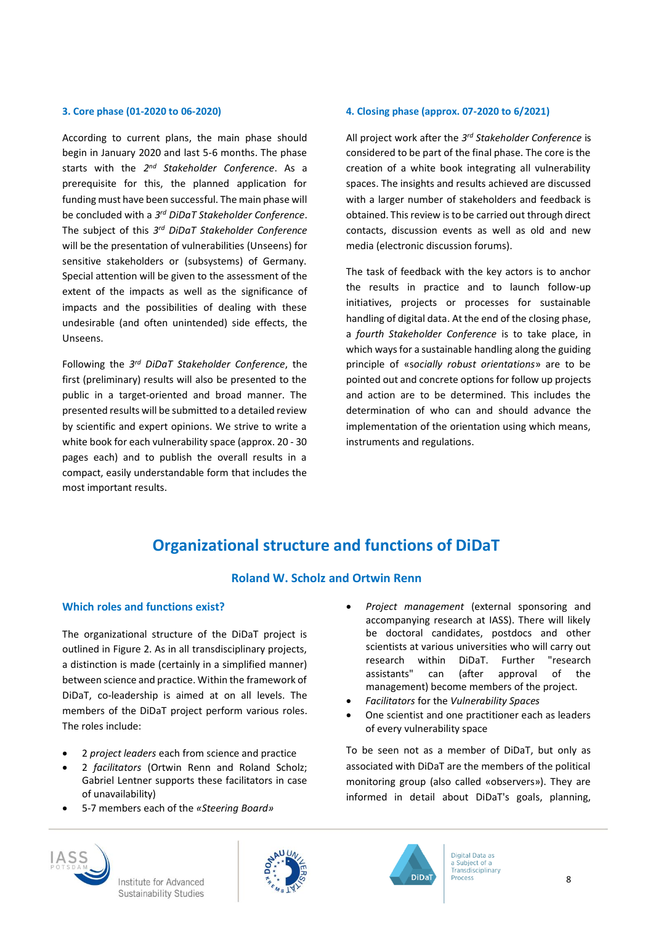#### **3. Core phase (01-2020 to 06-2020)**

According to current plans, the main phase should begin in January 2020 and last 5-6 months. The phase starts with the *2 nd Stakeholder Conference*. As a prerequisite for this, the planned application for funding must have been successful. The main phase will be concluded with a *3 rd DiDaT Stakeholder Conference*. The subject of this *3 rd DiDaT Stakeholder Conference* will be the presentation of vulnerabilities (Unseens) for sensitive stakeholders or (subsystems) of Germany. Special attention will be given to the assessment of the extent of the impacts as well as the significance of impacts and the possibilities of dealing with these undesirable (and often unintended) side effects, the Unseens.

Following the *3 rd DiDaT Stakeholder Conference*, the first (preliminary) results will also be presented to the public in a target-oriented and broad manner. The presented results will be submitted to a detailed review by scientific and expert opinions. We strive to write a white book for each vulnerability space (approx. 20 - 30 pages each) and to publish the overall results in a compact, easily understandable form that includes the most important results.

#### **4. Closing phase (approx. 07-2020 to 6/2021)**

All project work after the *3 rd Stakeholder Conference* is considered to be part of the final phase. The core is the creation of a white book integrating all vulnerability spaces. The insights and results achieved are discussed with a larger number of stakeholders and feedback is obtained. This review is to be carried out through direct contacts, discussion events as well as old and new media (electronic discussion forums).

The task of feedback with the key actors is to anchor the results in practice and to launch follow-up initiatives, projects or processes for sustainable handling of digital data. At the end of the closing phase, a *fourth Stakeholder Conference* is to take place, in which ways for a sustainable handling along the guiding principle of «s*ocially robust orientations*» are to be pointed out and concrete options for follow up projects and action are to be determined. This includes the determination of who can and should advance the implementation of the orientation using which means, instruments and regulations.

### **Organizational structure and functions of DiDaT**

#### **Roland W. Scholz and Ortwin Renn**

#### **Which roles and functions exist?**

The organizational structure of the DiDaT project is outlined in Figure 2. As in all transdisciplinary projects, a distinction is made (certainly in a simplified manner) between science and practice. Within the framework of DiDaT, co-leadership is aimed at on all levels. The members of the DiDaT project perform various roles. The roles include:

- 2 *project leaders* each from science and practice
- 2 *facilitators* (Ortwin Renn and Roland Scholz; Gabriel Lentner supports these facilitators in case of unavailability)
- 5-7 members each of the *«Steering Board»*
- *Project management* (external sponsoring and accompanying research at IASS). There will likely be doctoral candidates, postdocs and other scientists at various universities who will carry out research within DiDaT. Further "research assistants" can (after approval of the management) become members of the project.
- *Facilitators* for the *Vulnerability Spaces*
- One scientist and one practitioner each as leaders of every vulnerability space

To be seen not as a member of DiDaT, but only as associated with DiDaT are the members of the political monitoring group (also called «observers»). They are informed in detail about DiDaT's goals, planning,





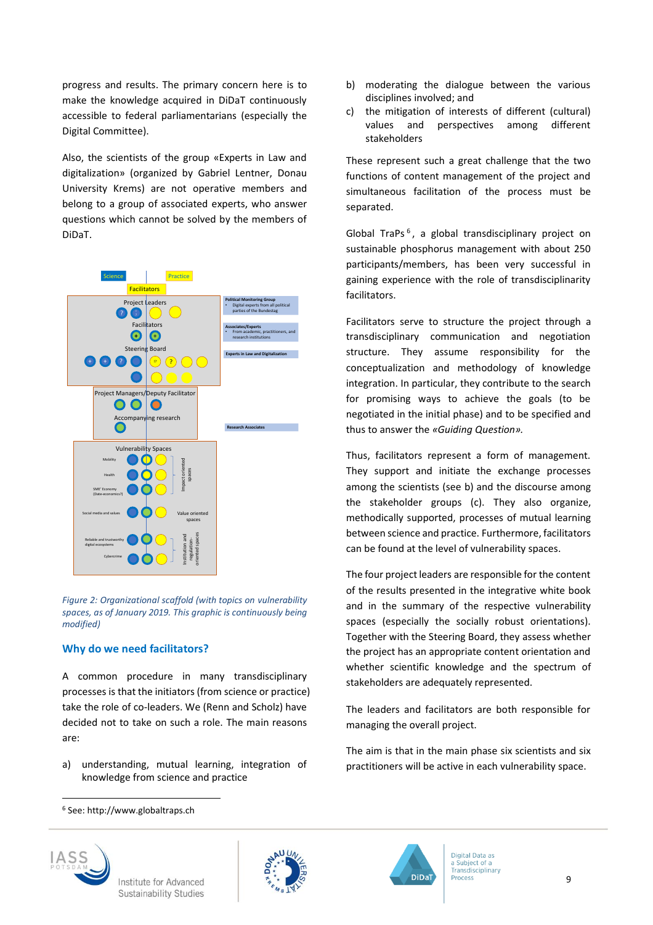progress and results. The primary concern here is to make the knowledge acquired in DiDaT continuously accessible to federal parliamentarians (especially the Digital Committee).

Also, the scientists of the group «Experts in Law and digitalization» (organized by Gabriel Lentner, Donau University Krems) are not operative members and belong to a group of associated experts, who answer questions which cannot be solved by the members of DiDaT.



*Figure 2: Organizational scaffold (with topics on vulnerability spaces, as of January 2019. This graphic is continuously being modified)*

#### **Why do we need facilitators?**

A common procedure in many transdisciplinary processes is that the initiators (from science or practice) take the role of co-leaders. We (Renn and Scholz) have decided not to take on such a role. The main reasons are:

a) understanding, mutual learning, integration of knowledge from science and practice

**IASS** 

l



- b) moderating the dialogue between the various disciplines involved; and
- c) the mitigation of interests of different (cultural) values and perspectives among different stakeholders

These represent such a great challenge that the two functions of content management of the project and simultaneous facilitation of the process must be separated.

Global TraPs<sup>6</sup>, a global transdisciplinary project on sustainable phosphorus management with about 250 participants/members, has been very successful in gaining experience with the role of transdisciplinarity facilitators.

Facilitators serve to structure the project through a transdisciplinary communication and negotiation structure. They assume responsibility for the conceptualization and methodology of knowledge integration. In particular, they contribute to the search for promising ways to achieve the goals (to be negotiated in the initial phase) and to be specified and thus to answer the *«Guiding Question».*

Thus, facilitators represent a form of management. They support and initiate the exchange processes among the scientists (see b) and the discourse among the stakeholder groups (c). They also organize, methodically supported, processes of mutual learning between science and practice. Furthermore, facilitators can be found at the level of vulnerability spaces.

The four project leaders are responsible for the content of the results presented in the integrative white book and in the summary of the respective vulnerability spaces (especially the socially robust orientations). Together with the Steering Board, they assess whether the project has an appropriate content orientation and whether scientific knowledge and the spectrum of stakeholders are adequately represented.

The leaders and facilitators are both responsible for managing the overall project.

The aim is that in the main phase six scientists and six practitioners will be active in each vulnerability space.



<sup>6</sup> See: http://www.globaltraps.ch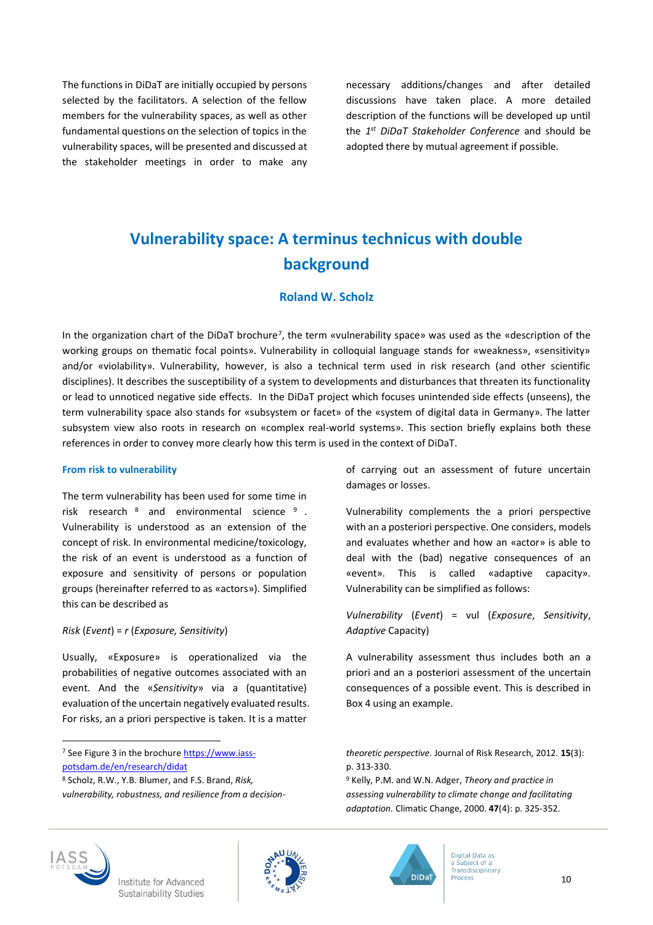The functions in DiDaT are initially occupied by persons selected by the facilitators. A selection of the fellow members for the vulnerability spaces, as well as other fundamental questions on the selection of topics in the vulnerability spaces, will be presented and discussed at the stakeholder meetings in order to make any necessary additions/changes and after detailed discussions have taken place. A more detailed description of the functions will be developed up until the *1 st DiDaT Stakeholder Conference* and should be adopted there by mutual agreement if possible.

# **Vulnerability space: A terminus technicus with double background**

#### **Roland W. Scholz**

In the organization chart of the DiDaT brochure<sup>7</sup>, the term «vulnerability space» was used as the «description of the working groups on thematic focal points». Vulnerability in colloquial language stands for «weakness», «sensitivity» and/or «violability». Vulnerability, however, is also a technical term used in risk research (and other scientific disciplines). It describes the susceptibility of a system to developments and disturbances that threaten its functionality or lead to unnoticed negative side effects. In the DiDaT project which focuses unintended side effects (unseens), the term vulnerability space also stands for «subsystem or facet» of the «system of digital data in Germany». The latter subsystem view also roots in research on «complex real-world systems». This section briefly explains both these references in order to convey more clearly how this term is used in the context of DiDaT.

#### **From risk to vulnerability**

The term vulnerability has been used for some time in risk research <sup>8</sup> and environmental science <sup>9</sup>. Vulnerability is understood as an extension of the concept of risk. In environmental medicine/toxicology, the risk of an event is understood as a function of exposure and sensitivity of persons or population groups (hereinafter referred to as «actors»). Simplified this can be described as

#### *Risk* (*Event*) = *r* (*Exposure, Sensitivity*)

Usually, «Exposure» is operationalized via the probabilities of negative outcomes associated with an event. And the «*Sensitivity*» via a (quantitative) evaluation of the uncertain negatively evaluated results. For risks, an a priori perspective is taken. It is a matter

<sup>7</sup> See Figure 3 in the brochur[e https://www.iass](https://www.iass-potsdam.de/en/research/didat)[potsdam.de/en/research/didat](https://www.iass-potsdam.de/en/research/didat) 

of carrying out an assessment of future uncertain damages or losses.

Vulnerability complements the a priori perspective with an a posteriori perspective. One considers, models and evaluates whether and how an «actor» is able to deal with the (bad) negative consequences of an «event». This is called «adaptive capacity». Vulnerability can be simplified as follows:

*Vulnerability* (*Event*) = vul (*Exposure*, *Sensitivity*, *Adaptive* Capacity)

A vulnerability assessment thus includes both an a priori and an a posteriori assessment of the uncertain consequences of a possible event. This is described in Box 4 using an example.



l





<sup>8</sup> Scholz, R.W., Y.B. Blumer, and F.S. Brand, *Risk, vulnerability, robustness, and resilience from a decision-*

*theoretic perspective.* Journal of Risk Research, 2012. **15**(3): p. 313-330.

<sup>9</sup> Kelly, P.M. and W.N. Adger, *Theory and practice in assessing vulnerability to climate change and facilitating adaptation.* Climatic Change, 2000. **47**(4): p. 325-352.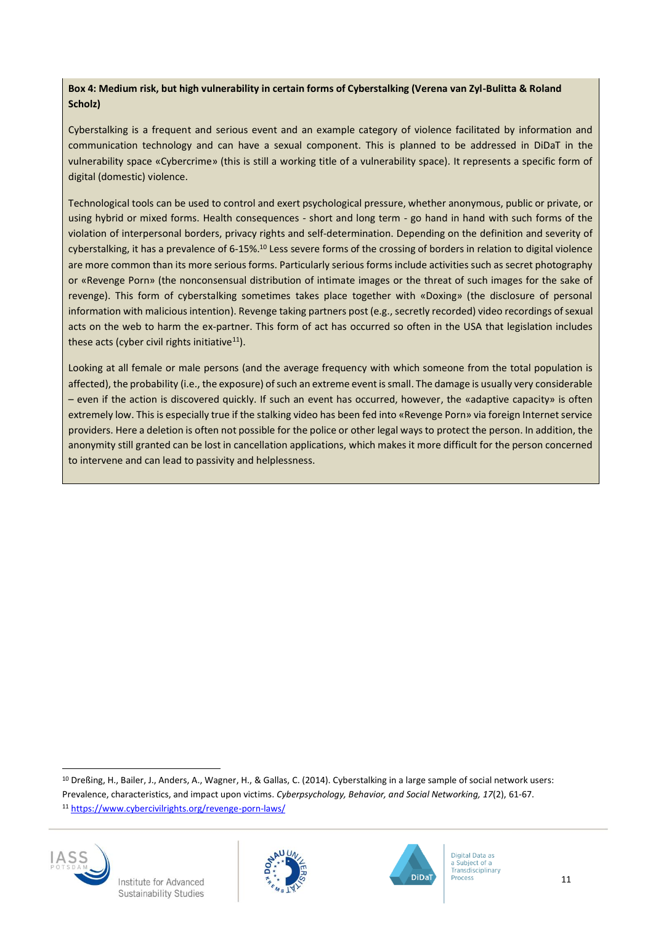#### **Box 4: Medium risk, but high vulnerability in certain forms of Cyberstalking (Verena van Zyl-Bulitta & Roland Scholz)**

Cyberstalking is a frequent and serious event and an example category of violence facilitated by information and communication technology and can have a sexual component. This is planned to be addressed in DiDaT in the vulnerability space «Cybercrime» (this is still a working title of a vulnerability space). It represents a specific form of digital (domestic) violence.

Technological tools can be used to control and exert psychological pressure, whether anonymous, public or private, or using hybrid or mixed forms. Health consequences - short and long term - go hand in hand with such forms of the violation of interpersonal borders, privacy rights and self-determination. Depending on the definition and severity of cyberstalking, it has a prevalence of 6-15%.<sup>10</sup> Less severe forms of the crossing of borders in relation to digital violence are more common than its more serious forms. Particularly serious forms include activities such as secret photography or «Revenge Porn» (the nonconsensual distribution of intimate images or the threat of such images for the sake of revenge). This form of cyberstalking sometimes takes place together with «Doxing» (the disclosure of personal information with malicious intention). Revenge taking partners post (e.g., secretly recorded) video recordings of sexual acts on the web to harm the ex-partner. This form of act has occurred so often in the USA that legislation includes these acts (cyber civil rights initiative $11$ ).

Looking at all female or male persons (and the average frequency with which someone from the total population is affected), the probability (i.e., the exposure) of such an extreme event is small. The damage is usually very considerable – even if the action is discovered quickly. If such an event has occurred, however, the «adaptive capacity» is often extremely low. This is especially true if the stalking video has been fed into «Revenge Porn» via foreign Internet service providers. Here a deletion is often not possible for the police or other legal ways to protect the person. In addition, the anonymity still granted can be lost in cancellation applications, which makes it more difficult for the person concerned to intervene and can lead to passivity and helplessness.

<sup>10</sup> Dreßing, H., Bailer, J., Anders, A., Wagner, H., & Gallas, C. (2014). Cyberstalking in a large sample of social network users: Prevalence, characteristics, and impact upon victims. *Cyberpsychology, Behavior, and Social Networking, 17*(2), 61-67. <sup>11</sup> <https://www.cybercivilrights.org/revenge-porn-laws/>



l



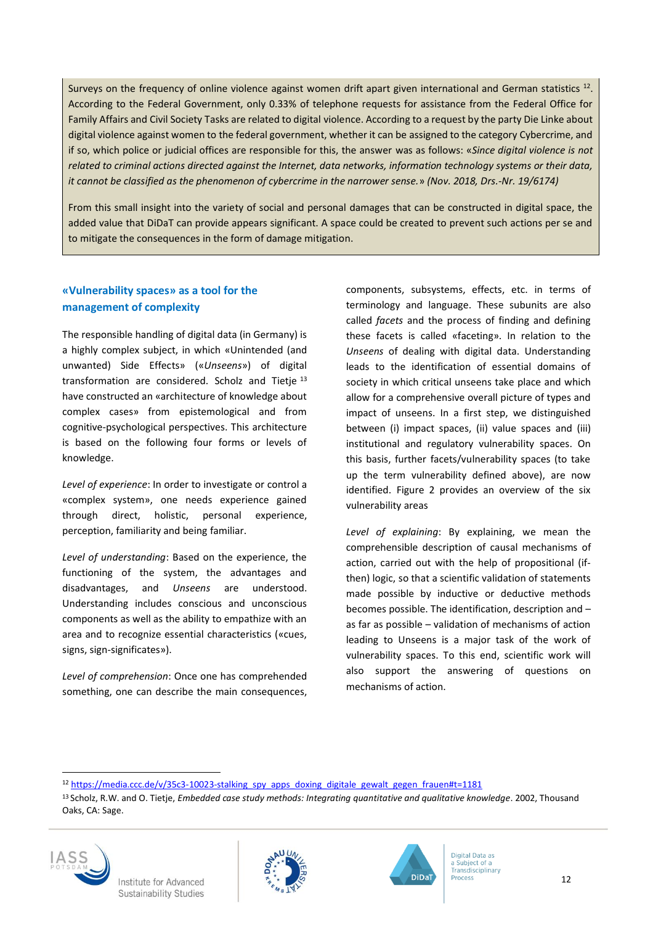Surveys on the frequency of online violence against women drift apart given international and German statistics  $^{12}$ . According to the Federal Government, only 0.33% of telephone requests for assistance from the Federal Office for Family Affairs and Civil Society Tasks are related to digital violence. According to a request by the party Die Linke about digital violence against women to the federal government, whether it can be assigned to the category Cybercrime, and if so, which police or judicial offices are responsible for this, the answer was as follows: «*Since digital violence is not related to criminal actions directed against the Internet, data networks, information technology systems or their data, it cannot be classified as the phenomenon of cybercrime in the narrower sense.*» *(Nov. 2018, Drs.-Nr. 19/6174)*

From this small insight into the variety of social and personal damages that can be constructed in digital space, the added value that DiDaT can provide appears significant. A space could be created to prevent such actions per se and to mitigate the consequences in the form of damage mitigation.

#### **«Vulnerability spaces» as a tool for the management of complexity**

The responsible handling of digital data (in Germany) is a highly complex subject, in which «Unintended (and unwanted) Side Effects» («*Unseens*») of digital transformation are considered. Scholz and Tietje<sup>13</sup> have constructed an «architecture of knowledge about complex cases» from epistemological and from cognitive-psychological perspectives. This architecture is based on the following four forms or levels of knowledge.

*Level of experience*: In order to investigate or control a «complex system», one needs experience gained through direct, holistic, personal experience, perception, familiarity and being familiar.

*Level of understanding*: Based on the experience, the functioning of the system, the advantages and disadvantages, and *Unseens* are understood. Understanding includes conscious and unconscious components as well as the ability to empathize with an area and to recognize essential characteristics («cues, signs, sign-significates»).

*Level of comprehension*: Once one has comprehended something, one can describe the main consequences, components, subsystems, effects, etc. in terms of terminology and language. These subunits are also called *facets* and the process of finding and defining these facets is called «faceting». In relation to the *Unseens* of dealing with digital data. Understanding leads to the identification of essential domains of society in which critical unseens take place and which allow for a comprehensive overall picture of types and impact of unseens. In a first step, we distinguished between (i) impact spaces, (ii) value spaces and (iii) institutional and regulatory vulnerability spaces. On this basis, further facets/vulnerability spaces (to take up the term vulnerability defined above), are now identified. Figure 2 provides an overview of the six vulnerability areas

*Level of explaining*: By explaining, we mean the comprehensible description of causal mechanisms of action, carried out with the help of propositional (ifthen) logic, so that a scientific validation of statements made possible by inductive or deductive methods becomes possible. The identification, description and – as far as possible – validation of mechanisms of action leading to Unseens is a major task of the work of vulnerability spaces. To this end, scientific work will also support the answering of questions on mechanisms of action.

<sup>12</sup> [https://media.ccc.de/v/35c3-10023-stalking\\_spy\\_apps\\_doxing\\_digitale\\_gewalt\\_gegen\\_frauen#t=1181](https://media.ccc.de/v/35c3-10023-stalking_spy_apps_doxing_digitale_gewalt_gegen_frauen#t=1181)

<sup>13</sup> Scholz, R.W. and O. Tietje, *Embedded case study methods: Integrating quantitative and qualitative knowledge*. 2002, Thousand Oaks, CA: Sage.



l

Institute for Advanced Sustainability Studies



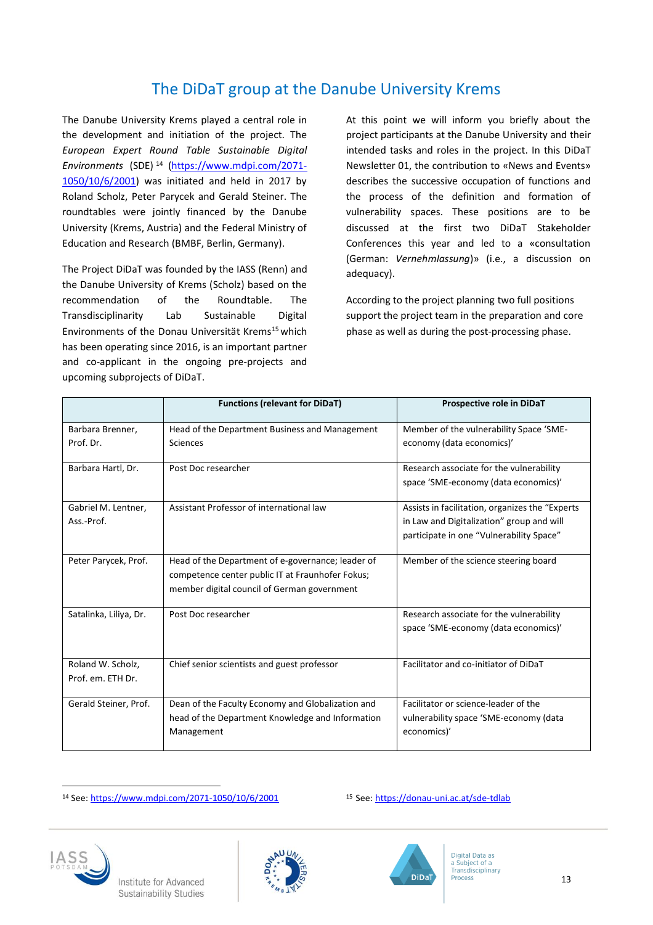### The DiDaT group at the Danube University Krems

The Danube University Krems played a central role in the development and initiation of the project. The *European Expert Round Table Sustainable Digital Environments* (SDE) <sup>14</sup> [\(https://www.mdpi.com/2071-](https://www.mdpi.com/2071-1050/10/6/2001) [1050/10/6/2001\)](https://www.mdpi.com/2071-1050/10/6/2001) was initiated and held in 2017 by Roland Scholz, Peter Parycek and Gerald Steiner. The roundtables were jointly financed by the Danube University (Krems, Austria) and the Federal Ministry of Education and Research (BMBF, Berlin, Germany).

The Project DiDaT was founded by the IASS (Renn) and the Danube University of Krems (Scholz) based on the recommendation of the Roundtable. The Transdisciplinarity Lab Sustainable Digital Environments of the Donau Universität Krems<sup>15</sup> which has been operating since 2016, is an important partner and co-applicant in the ongoing pre-projects and upcoming subprojects of DiDaT.

At this point we will inform you briefly about the project participants at the Danube University and their intended tasks and roles in the project. In this DiDaT Newsletter 01, the contribution to «News and Events» describes the successive occupation of functions and the process of the definition and formation of vulnerability spaces. These positions are to be discussed at the first two DiDaT Stakeholder Conferences this year and led to a «consultation (German: *Vernehmlassung*)» (i.e., a discussion on adequacy).

According to the project planning two full positions support the project team in the preparation and core phase as well as during the post-processing phase.

|                        | <b>Functions (relevant for DiDaT)</b>             | Prospective role in DiDaT                        |
|------------------------|---------------------------------------------------|--------------------------------------------------|
| Barbara Brenner,       | Head of the Department Business and Management    | Member of the vulnerability Space 'SME-          |
| Prof. Dr.              | Sciences                                          | economy (data economics)'                        |
| Barbara Hartl, Dr.     | Post Doc researcher                               | Research associate for the vulnerability         |
|                        |                                                   | space 'SME-economy (data economics)'             |
| Gabriel M. Lentner,    | Assistant Professor of international law          | Assists in facilitation, organizes the "Experts" |
| Ass.-Prof.             |                                                   | in Law and Digitalization" group and will        |
|                        |                                                   | participate in one "Vulnerability Space"         |
| Peter Parycek, Prof.   | Head of the Department of e-governance; leader of | Member of the science steering board             |
|                        | competence center public IT at Fraunhofer Fokus;  |                                                  |
|                        | member digital council of German government       |                                                  |
| Satalinka, Liliya, Dr. | Post Doc researcher                               | Research associate for the vulnerability         |
|                        |                                                   | space 'SME-economy (data economics)'             |
| Roland W. Scholz,      | Chief senior scientists and guest professor       | Facilitator and co-initiator of DiDaT            |
| Prof. em. ETH Dr.      |                                                   |                                                  |
| Gerald Steiner, Prof.  | Dean of the Faculty Economy and Globalization and | Facilitator or science-leader of the             |
|                        | head of the Department Knowledge and Information  | vulnerability space 'SME-economy (data           |
|                        | Management                                        | economics)'                                      |

14 See: https://www.mdpi.com/2071-1050/10/6/2001 15 See[: https://donau-uni.ac.at/sde-tdlab](https://donau-uni.ac.at/sde-tdlab)



l



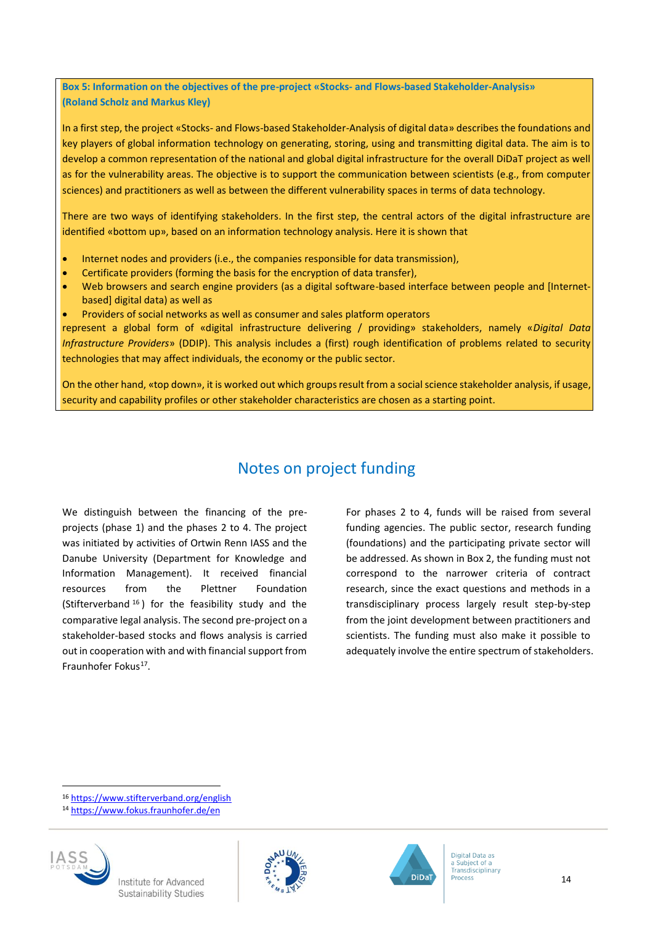**Box 5: Information on the objectives of the pre-project «Stocks- and Flows-based Stakeholder-Analysis» (Roland Scholz and Markus Kley)**

In a first step, the project «Stocks- and Flows-based Stakeholder-Analysis of digital data» describes the foundations and key players of global information technology on generating, storing, using and transmitting digital data. The aim is to develop a common representation of the national and global digital infrastructure for the overall DiDaT project as well as for the vulnerability areas. The objective is to support the communication between scientists (e.g., from computer sciences) and practitioners as well as between the different vulnerability spaces in terms of data technology.

There are two ways of identifying stakeholders. In the first step, the central actors of the digital infrastructure are identified «bottom up», based on an information technology analysis. Here it is shown that

- Internet nodes and providers (i.e., the companies responsible for data transmission),
- Certificate providers (forming the basis for the encryption of data transfer),
- Web browsers and search engine providers (as a digital software-based interface between people and [Internetbased] digital data) as well as
- Providers of social networks as well as consumer and sales platform operators

represent a global form of «digital infrastructure delivering / providing» stakeholders, namely «*Digital Data Infrastructure Providers*» (DDIP). This analysis includes a (first) rough identification of problems related to security technologies that may affect individuals, the economy or the public sector.

On the other hand, «top down», it is worked out which groups result from a social science stakeholder analysis, if usage, security and capability profiles or other stakeholder characteristics are chosen as a starting point.

### Notes on project funding

We distinguish between the financing of the preprojects (phase 1) and the phases 2 to 4. The project was initiated by activities of Ortwin Renn IASS and the Danube University (Department for Knowledge and Information Management). It received financial resources from the Plettner Foundation (Stifterverband <sup>16</sup> ) for the feasibility study and the comparative legal analysis. The second pre-project on a stakeholder-based stocks and flows analysis is carried out in cooperation with and with financial support from Fraunhofer Fokus<sup>17</sup>.

For phases 2 to 4, funds will be raised from several funding agencies. The public sector, research funding (foundations) and the participating private sector will be addressed. As shown in Box 2, the funding must not correspond to the narrower criteria of contract research, since the exact questions and methods in a transdisciplinary process largely result step-by-step from the joint development between practitioners and scientists. The funding must also make it possible to adequately involve the entire spectrum of stakeholders.

<sup>16</sup> <https://www.stifterverband.org/english>

<sup>14</sup> https://www.fokus.fraunhofer.de/en



l



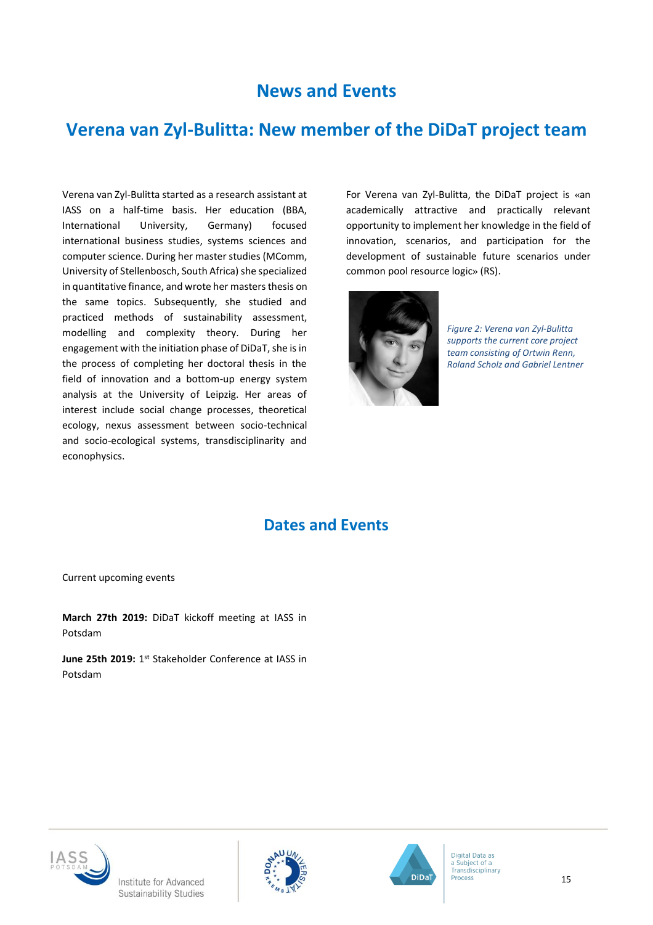# **News and Events**

## **Verena van Zyl-Bulitta: New member of the DiDaT project team**

Verena van Zyl-Bulitta started as a research assistant at IASS on a half-time basis. Her education (BBA, International University, Germany) focused international business studies, systems sciences and computer science. During her master studies (MComm, University of Stellenbosch, South Africa) she specialized in quantitative finance, and wrote her masters thesis on the same topics. Subsequently, she studied and practiced methods of sustainability assessment, modelling and complexity theory. During her engagement with the initiation phase of DiDaT, she isin the process of completing her doctoral thesis in the field of innovation and a bottom-up energy system analysis at the University of Leipzig. Her areas of interest include social change processes, theoretical ecology, nexus assessment between socio-technical and socio-ecological systems, transdisciplinarity and econophysics.

For Verena van Zyl-Bulitta, the DiDaT project is «an academically attractive and practically relevant opportunity to implement her knowledge in the field of innovation, scenarios, and participation for the development of sustainable future scenarios under common pool resource logic» (RS).



*Figure 2: Verena van Zyl-Bulitta supports the current core project team consisting of Ortwin Renn, Roland Scholz and Gabriel Lentner*

### **Dates and Events**

Current upcoming events

**March 27th 2019:** DiDaT kickoff meeting at IASS in Potsdam

June 25th 2019: 1<sup>st</sup> Stakeholder Conference at IASS in Potsdam